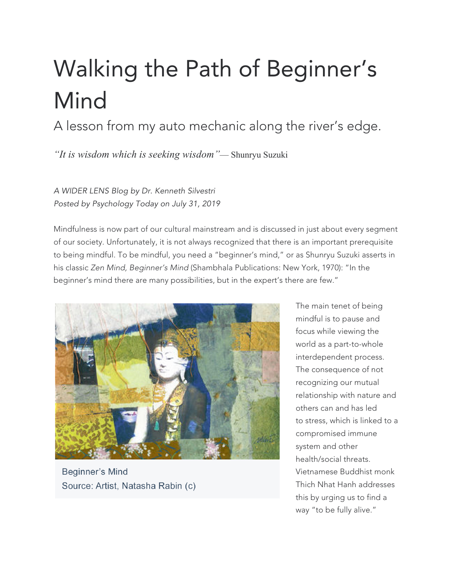# Walking the Path of Beginner's Mind

A lesson from my auto mechanic along the river's edge.

*"It is wisdom which is seeking wisdom"*— Shunryu Suzuki

*A WIDER LENS Blog by Dr. Kenneth Silvestri Posted by Psychology Today on July 31, 2019*

Mindfulness is now part of our cultural mainstream and is discussed in just about every segment of our society. Unfortunately, it is not always recognized that there is an important prerequisite to being mindful. To be mindful, you need a "beginner's mind," or as Shunryu Suzuki asserts in his classic *Zen Mind, Beginner's Mind* (Shambhala Publications: New York, 1970): "In the beginner's mind there are many possibilities, but in the expert's there are few."



**Beginner's Mind** Source: Artist, Natasha Rabin (c)

The main tenet of being mindful is to pause and focus while viewing the world as a part-to-whole interdependent process. The consequence of not recognizing our mutual relationship with nature and others can and has led to stress, which is linked to a compromised immune system and other health/social threats. Vietnamese Buddhist monk Thich Nhat Hanh addresses this by urging us to find a way "to be fully alive."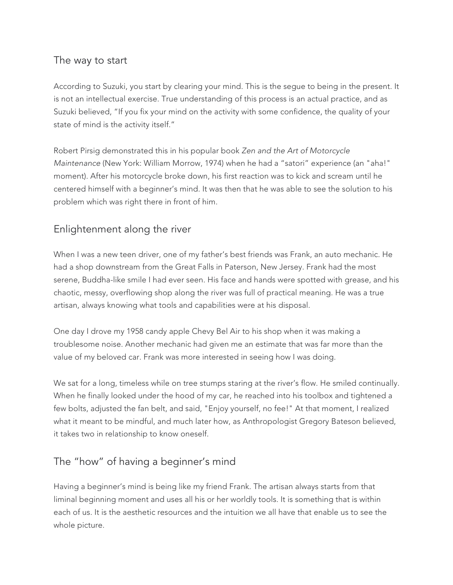## The way to start

According to Suzuki, you start by clearing your mind. This is the segue to being in the present. It is not an intellectual exercise. True understanding of this process is an actual practice, and as Suzuki believed, "If you fix your mind on the activity with some confidence, the quality of your state of mind is the activity itself."

Robert Pirsig demonstrated this in his popular book *Zen and the Art of Motorcycle Maintenance* (New York: William Morrow, 1974) when he had a "satori" experience (an "aha!" moment). After his motorcycle broke down, his first reaction was to kick and scream until he centered himself with a beginner's mind. It was then that he was able to see the solution to his problem which was right there in front of him.

### Enlightenment along the river

When I was a new teen driver, one of my father's best friends was Frank, an auto mechanic. He had a shop downstream from the Great Falls in Paterson, New Jersey. Frank had the most serene, Buddha-like smile I had ever seen. His face and hands were spotted with grease, and his chaotic, messy, overflowing shop along the river was full of practical meaning. He was a true artisan, always knowing what tools and capabilities were at his disposal.

One day I drove my 1958 candy apple Chevy Bel Air to his shop when it was making a troublesome noise. Another mechanic had given me an estimate that was far more than the value of my beloved car. Frank was more interested in seeing how I was doing.

We sat for a long, timeless while on tree stumps staring at the river's flow. He smiled continually. When he finally looked under the hood of my car, he reached into his toolbox and tightened a few bolts, adjusted the fan belt, and said, "Enjoy yourself, no fee!" At that moment, I realized what it meant to be mindful, and much later how, as Anthropologist Gregory Bateson believed, it takes two in relationship to know oneself.

### The "how" of having a beginner's mind

Having a beginner's mind is being like my friend Frank. The artisan always starts from that liminal beginning moment and uses all his or her worldly tools. It is something that is within each of us. It is the aesthetic resources and the intuition we all have that enable us to see the whole picture.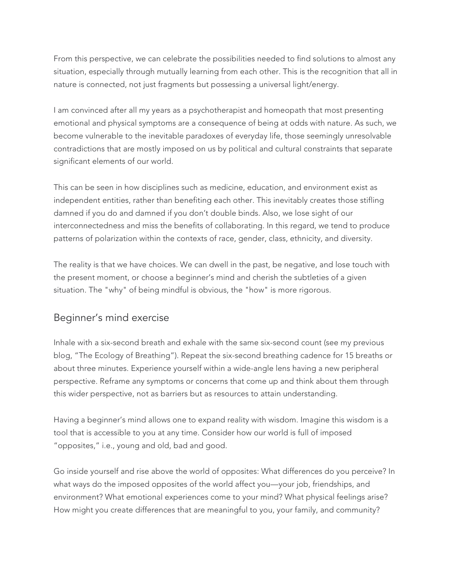From this perspective, we can celebrate the possibilities needed to find solutions to almost any situation, especially through mutually learning from each other. This is the recognition that all in nature is connected, not just fragments but possessing a universal light/energy.

I am convinced after all my years as a psychotherapist and homeopath that most presenting emotional and physical symptoms are a consequence of being at odds with nature. As such, we become vulnerable to the inevitable paradoxes of everyday life, those seemingly unresolvable contradictions that are mostly imposed on us by political and cultural constraints that separate significant elements of our world.

This can be seen in how disciplines such as medicine, education, and environment exist as independent entities, rather than benefiting each other. This inevitably creates those stifling damned if you do and damned if you don't double binds. Also, we lose sight of our interconnectedness and miss the benefits of collaborating. In this regard, we tend to produce patterns of polarization within the contexts of race, gender, class, ethnicity, and diversity.

The reality is that we have choices. We can dwell in the past, be negative, and lose touch with the present moment, or choose a beginner's mind and cherish the subtleties of a given situation. The "why" of being mindful is obvious, the "how" is more rigorous.

### Beginner's mind exercise

Inhale with a six-second breath and exhale with the same six-second count (see my previous blog, "The Ecology of Breathing"). Repeat the six-second breathing cadence for 15 breaths or about three minutes. Experience yourself within a wide-angle lens having a new peripheral perspective. Reframe any symptoms or concerns that come up and think about them through this wider perspective, not as barriers but as resources to attain understanding.

Having a beginner's mind allows one to expand reality with wisdom. Imagine this wisdom is a tool that is accessible to you at any time. Consider how our world is full of imposed "opposites," i.e., young and old, bad and good.

Go inside yourself and rise above the world of opposites: What differences do you perceive? In what ways do the imposed opposites of the world affect you—your job, friendships, and environment? What emotional experiences come to your mind? What physical feelings arise? How might you create differences that are meaningful to you, your family, and community?